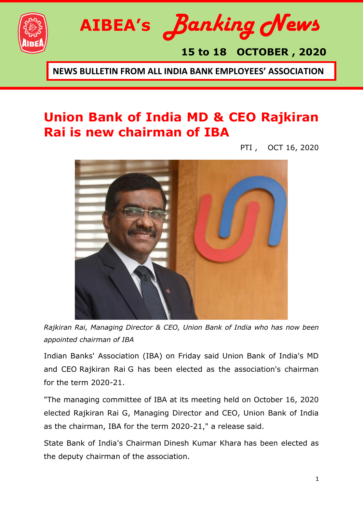



### **15 to 18 OCTOBER , 2020**

**NEWS BULLETIN FROM ALL INDIA BANK EMPLOYEES' ASSOCIATION**

# **Union Bank of India MD & CEO Rajkiran Rai is new chairman of IBA**

[PTI](https://www.businessinsider.in/author_articles_all.cms?query=%22PTI%22&author=PTI&page=1) , OCT 16, 2020



*Rajkiran Rai, Managing Director & CEO, Union Bank of India who has now been appointed chairman of IBA*

Indian Banks' Association (IBA) on Friday said Union Bank of India's MD and CEO Rajkiran Rai G has been elected as the association's chairman for the term 2020-21.

"The managing committee of IBA at its meeting held on October 16, 2020 elected Rajkiran Rai G, Managing Director and CEO, Union Bank of India as the chairman, IBA for the term 2020-21," a release said.

State Bank of India's Chairman Dinesh Kumar Khara has been elected as the deputy chairman of the association.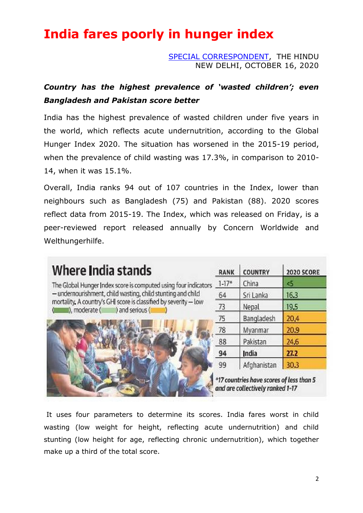# **India fares poorly in hunger index**

[SPECIAL CORRESPONDENT,](https://www.thehindu.com/news/national/india-fares-poorly-in-hunger-index/article32876195.ece?homepage=true) THE HINDU NEW DELHI, OCTOBER 16, 2020

#### *Country has the highest prevalence of 'wasted children'; even Bangladesh and Pakistan score better*

India has the highest prevalence of wasted children under five years in the world, which reflects acute undernutrition, according to the Global Hunger Index 2020. The situation has worsened in the 2015-19 period, when the prevalence of child wasting was 17.3%, in comparison to 2010- 14, when it was 15.1%.

Overall, India ranks 94 out of 107 countries in the Index, lower than neighbours such as Bangladesh (75) and Pakistan (88). 2020 scores reflect data from 2015-19. The Index, which was released on Friday, is a peer-reviewed report released annually by Concern Worldwide and Welthungerhilfe.

| Where India stands                                                                                                                                                                                                                     | <b>RANK</b>                                                                  | <b>COUNTRY</b> | <b>2020 SCORE</b> |
|----------------------------------------------------------------------------------------------------------------------------------------------------------------------------------------------------------------------------------------|------------------------------------------------------------------------------|----------------|-------------------|
| The Global Hunger Index score is computed using four indicators<br>- undernourishment, child wasting, child stunting and child<br>mortality. A country's GHI score is classified by severity - low<br>) and serious (<br>), moderate ( | $1-17"$                                                                      | China          | 35                |
|                                                                                                                                                                                                                                        | 64                                                                           | Sri Lanka      | 16.3              |
|                                                                                                                                                                                                                                        | 73                                                                           | Nepal          | 19.5              |
|                                                                                                                                                                                                                                        | 75                                                                           | Bangladesh     | 20,4              |
|                                                                                                                                                                                                                                        | 78                                                                           | Myanmar        | 20.9              |
|                                                                                                                                                                                                                                        | 88                                                                           | Pakistan       | 24.6              |
|                                                                                                                                                                                                                                        | 94                                                                           | India          | 27.2              |
|                                                                                                                                                                                                                                        | 99                                                                           | Afghanistan    | 30.3              |
|                                                                                                                                                                                                                                        | *17 countries have scores of less than 5<br>and are collectively ranked 1-17 |                |                   |

It uses four parameters to determine its scores. India fares worst in child wasting (low weight for height, reflecting acute undernutrition) and child stunting (low height for age, reflecting chronic undernutrition), which together make up a third of the total score.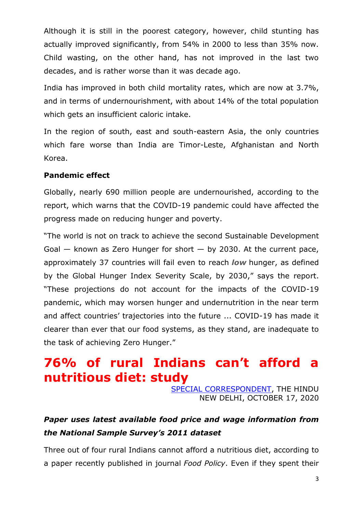Although it is still in the poorest category, however, child stunting has actually improved significantly, from 54% in 2000 to less than 35% now. Child wasting, on the other hand, has not improved in the last two decades, and is rather worse than it was decade ago.

India has improved in both child mortality rates, which are now at 3.7%, and in terms of undernourishment, with about 14% of the total population which gets an insufficient caloric intake.

In the region of south, east and south-eastern Asia, the only countries which fare worse than India are Timor-Leste, Afghanistan and North Korea.

#### **Pandemic effect**

Globally, nearly 690 million people are undernourished, according to the report, which warns that the COVID-19 pandemic could have affected the progress made on reducing hunger and poverty.

"The world is not on track to achieve the second Sustainable Development Goal  $-$  known as Zero Hunger for short  $-$  by 2030. At the current pace, approximately 37 countries will fail even to reach *low* hunger, as defined by the Global Hunger Index Severity Scale, by 2030," says the report. "These projections do not account for the impacts of the COVID-19 pandemic, which may worsen hunger and undernutrition in the near term and affect countries' trajectories into the future ... COVID-19 has made it clearer than ever that our food systems, as they stand, are inadequate to the task of achieving Zero Hunger."

# **76% of rural Indians can't afford a nutritious diet: study**

[SPECIAL CORRESPONDENT,](https://www.thehindu.com/news/national/76-of-rural-indians-cant-afford-a-nutritious-diet-study/article32881678.ece?homepage=true) THE HINDU NEW DELHI, OCTOBER 17, 2020

#### *Paper uses latest available food price and wage information from the National Sample Survey's 2011 dataset*

Three out of four rural Indians cannot afford a [nutritious diet,](https://www.thehindu.com/news/cities/Hyderabad/tracking-nutrition-and-health-status-of-indians/article32727237.ece) according to a paper recently published in journal *Food Policy*. Even if they spent their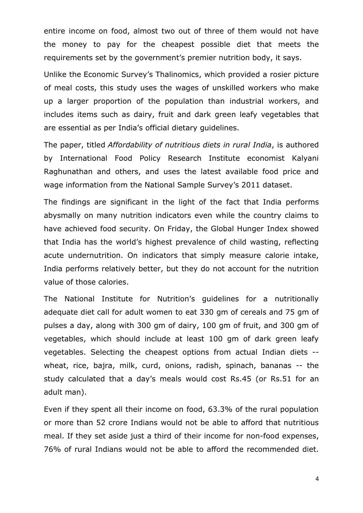entire income on food, almost two out of three of them would not have the money to pay for the cheapest possible diet that meets the requirements set by the government's premier nutrition body, it says.

Unlike the [Economic Survey"s Thalinomics](https://www.thehindu.com/business/Economy/understanding-thalinomics-or-the-economics-of-a-plate-of-food-in-india/article30704195.ece), which provided a rosier picture of meal costs, this study uses the wages of unskilled workers who make up a larger proportion of the population than industrial workers, and includes items such as dairy, fruit and dark green leafy vegetables that are essential as per India's official dietary guidelines.

The paper, titled *[Affordability of nutritious diets in rural India](https://www.ifpri.org/publication/affordability-nutritious-diets-rural-india)*, is authored by International Food Policy Research Institute economist Kalyani Raghunathan and others, and uses the latest available food price and wage information from the National Sample Survey's 2011 dataset.

The findings are significant in the light of the fact that India performs abysmally on many nutrition indicators even while the country claims to have achieved food security. On Friday, the Global Hunger Index showed that India has the world"s highest prevalence of child wasting, reflecting acute undernutrition. On indicators that simply measure calorie intake, India performs relatively better, but they do not account for the nutrition value of those calories.

The National Institute for Nutrition"s guidelines for a nutritionally adequate diet call for adult women to eat 330 gm of cereals and 75 gm of pulses a day, along with 300 gm of dairy, 100 gm of fruit, and 300 gm of vegetables, which should include at least 100 gm of dark green leafy vegetables. Selecting the cheapest options from actual Indian diets - wheat, rice, bajra, milk, curd, onions, radish, spinach, bananas -- the study calculated that a day"s meals would cost Rs.45 (or Rs.51 for an adult man).

Even if they spent all their income on food, 63.3% of the rural population or more than 52 crore Indians would not be able to afford that nutritious meal. If they set aside just a third of their income for non-food expenses, 76% of rural Indians would not be able to afford the recommended diet.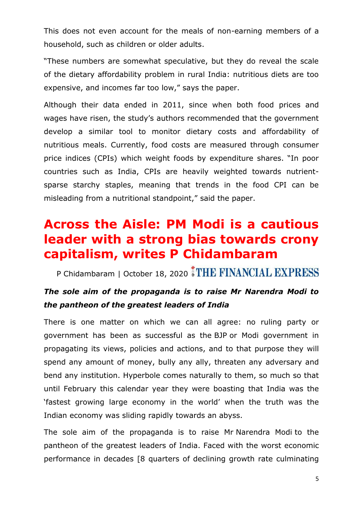This does not even account for the meals of non-earning members of a household, such as children or older adults.

"These numbers are somewhat speculative, but they do reveal the scale of the dietary affordability problem in rural India: nutritious diets are too expensive, and incomes far too low," says the paper.

Although their data ended in 2011, since when both food prices and wages have risen, the study's authors recommended that the government develop a similar tool to monitor dietary costs and affordability of nutritious meals. Currently, food costs are measured through consumer price indices (CPIs) which weight foods by expenditure shares. "In poor countries such as India, CPIs are heavily weighted towards nutrientsparse starchy staples, meaning that trends in the food CPI can be misleading from a nutritional standpoint," said the paper.

### **Across the Aisle: PM Modi is a cautious leader with a strong bias towards crony capitalism, writes P Chidambaram**

[P Chidambaram](https://www.financialexpress.com/author/p-chidambaram/) | October 18, 2020 THE FINANCIAL EXPRESS

#### *The sole aim of the propaganda is to raise Mr Narendra Modi to the pantheon of the greatest leaders of India*

There is one matter on which we can all agree: no ruling party or government has been as successful as the [BJP](https://www.financialexpress.com/tag/bharatiya-janata-party/) or Modi government in propagating its views, policies and actions, and to that purpose they will spend any amount of money, bully any ally, threaten any adversary and bend any institution. Hyperbole comes naturally to them, so much so that until February this calendar year they were boasting that India was the "fastest growing large economy in the world" when the truth was the Indian economy was sliding rapidly towards an abyss.

The sole aim of the propaganda is to raise Mr [Narendra](https://www.financialexpress.com/tag/narendra-modi/) Modi to the pantheon of the greatest leaders of India. Faced with the worst economic performance in decades [8 quarters of declining growth rate culminating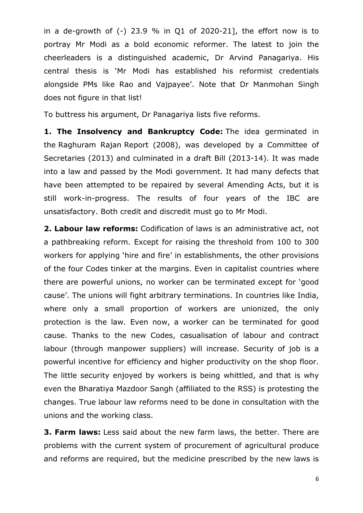in a de-growth of  $(-)$  23.9 % in Q1 of 2020-21], the effort now is to portray Mr Modi as a bold economic reformer. The latest to join the cheerleaders is a distinguished academic, Dr Arvind Panagariya. His central thesis is "Mr Modi has established his reformist credentials alongside PMs like Rao and Vajpayee'. Note that Dr Manmohan Singh does not figure in that list!

To buttress his argument, Dr Panagariya lists five reforms.

**1. The Insolvency and Bankruptcy Code:** The idea germinated in the [Raghuram](https://www.financialexpress.com/tag/raghuram-rajan/) Rajan Report (2008), was developed by a Committee of Secretaries (2013) and culminated in a draft Bill (2013-14). It was made into a law and passed by the Modi government. It had many defects that have been attempted to be repaired by several Amending Acts, but it is still work-in-progress. The results of four years of the IBC are unsatisfactory. Both credit and discredit must go to Mr Modi.

**2. Labour law reforms:** Codification of laws is an administrative act, not a pathbreaking reform. Except for raising the threshold from 100 to 300 workers for applying 'hire and fire' in establishments, the other provisions of the four Codes tinker at the margins. Even in capitalist countries where there are powerful unions, no worker can be terminated except for "good cause". The unions will fight arbitrary terminations. In countries like India, where only a small proportion of workers are unionized, the only protection is the law. Even now, a worker can be terminated for good cause. Thanks to the new Codes, casualisation of labour and contract labour (through manpower suppliers) will increase. Security of job is a powerful incentive for efficiency and higher productivity on the shop floor. The little security enjoyed by workers is being whittled, and that is why even the Bharatiya Mazdoor Sangh (affiliated to the RSS) is protesting the changes. True labour law reforms need to be done in consultation with the unions and the working class.

**3. Farm laws:** Less said about the new farm laws, the better. There are problems with the current system of procurement of agricultural produce and reforms are required, but the medicine prescribed by the new laws is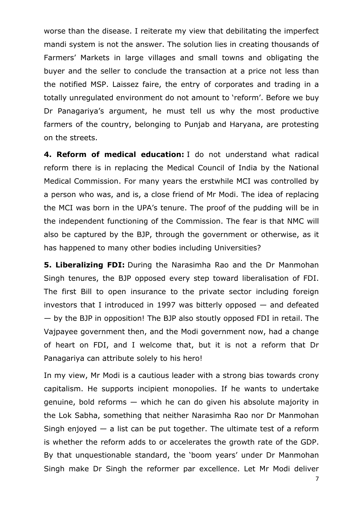worse than the disease. I reiterate my view that debilitating the imperfect mandi system is not the answer. The solution lies in creating thousands of Farmers" Markets in large villages and small towns and obligating the buyer and the seller to conclude the transaction at a price not less than the notified MSP. Laissez faire, the entry of corporates and trading in a totally unregulated environment do not amount to "reform". Before we buy Dr Panagariya's argument, he must tell us why the most productive farmers of the country, belonging to Punjab and Haryana, are protesting on the streets.

**4. Reform of medical education:** I do not understand what radical reform there is in replacing the Medical Council of India by the National Medical Commission. For many years the erstwhile MCI was controlled by a person who was, and is, a close friend of Mr Modi. The idea of replacing the MCI was born in the UPA"s tenure. The proof of the pudding will be in the independent functioning of the Commission. The fear is that NMC will also be captured by the BJP, through the government or otherwise, as it has happened to many other bodies including Universities?

**5. Liberalizing FDI:** During the Narasimha Rao and the Dr Manmohan Singh tenures, the BJP opposed every step toward liberalisation of FDI. The first Bill to open insurance to the private sector including foreign investors that I introduced in 1997 was bitterly opposed — and defeated — by the BJP in opposition! The BJP also stoutly opposed FDI in retail. The Vajpayee government then, and the Modi government now, had a change of heart on FDI, and I welcome that, but it is not a reform that Dr Panagariya can attribute solely to his hero!

In my view, Mr Modi is a cautious leader with a strong bias towards crony capitalism. He supports incipient monopolies. If he wants to undertake genuine, bold reforms — which he can do given his absolute majority in the Lok Sabha, something that neither Narasimha Rao nor Dr Manmohan Singh enjoyed  $-$  a list can be put together. The ultimate test of a reform is whether the reform adds to or accelerates the growth rate of the GDP. By that unquestionable standard, the 'boom years' under Dr Manmohan Singh make Dr Singh the reformer par excellence. Let Mr Modi deliver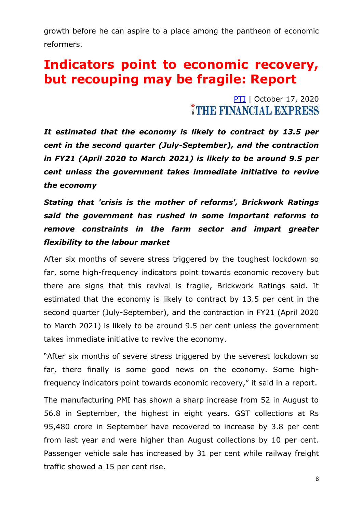growth before he can aspire to a place among the pantheon of economic reformers.

# **Indicators point to economic recovery, but recouping may be fragile: Report**

#### [PTI](https://www.financialexpress.com/author/pti/) | October 17, 2020 THE FINANCIAL EXPRESS

*It estimated that the economy is likely to contract by 13.5 per cent in the second quarter (July-September), and the contraction in FY21 (April 2020 to March 2021) is likely to be around 9.5 per cent unless the government takes immediate initiative to revive the economy*

*Stating that 'crisis is the mother of reforms', Brickwork Ratings said the government has rushed in some important reforms to remove constraints in the farm sector and impart greater flexibility to the labour market*

After six months of severe stress triggered by the toughest lockdown so far, some high-frequency indicators point towards economic recovery but there are signs that this revival is fragile, Brickwork Ratings said. It estimated that the economy is likely to contract by 13.5 per cent in the second quarter (July-September), and the contraction in FY21 (April 2020 to March 2021) is likely to be around 9.5 per cent unless the government takes immediate initiative to revive the economy.

"After six months of severe stress triggered by the severest lockdown so far, there finally is some good news on the economy. Some highfrequency indicators point towards economic recovery," it said in a report.

The manufacturing PMI has shown a sharp increase from 52 in August to 56.8 in September, the highest in eight years. GST collections at Rs 95,480 crore in September have recovered to increase by 3.8 per cent from last year and were higher than August collections by 10 per cent. Passenger vehicle sale has increased by 31 per cent while railway freight traffic showed a 15 per cent rise.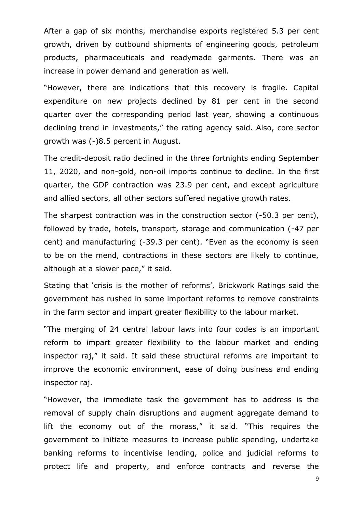After a gap of six months, merchandise exports registered 5.3 per cent growth, driven by outbound shipments of engineering goods, petroleum products, pharmaceuticals and readymade garments. There was an increase in power demand and generation as well.

"However, there are indications that this recovery is fragile. Capital expenditure on new projects declined by 81 per cent in the second quarter over the corresponding period last year, showing a continuous declining trend in investments," the rating agency said. Also, core sector growth was (-)8.5 percent in August.

The credit-deposit ratio declined in the three fortnights ending September 11, 2020, and non-gold, non-oil imports continue to decline. In the first quarter, the GDP contraction was 23.9 per cent, and except agriculture and allied sectors, all other sectors suffered negative growth rates.

The sharpest contraction was in the construction sector (-50.3 per cent), followed by trade, hotels, transport, storage and communication (-47 per cent) and manufacturing (-39.3 per cent). "Even as the economy is seen to be on the mend, contractions in these sectors are likely to continue, although at a slower pace," it said.

Stating that 'crisis is the mother of reforms', Brickwork Ratings said the government has rushed in some important reforms to remove constraints in the farm sector and impart greater flexibility to the labour market.

"The merging of 24 central labour laws into four codes is an important reform to impart greater flexibility to the labour market and ending inspector raj," it said. It said these structural reforms are important to improve the economic environment, ease of doing business and ending inspector raj.

"However, the immediate task the government has to address is the removal of supply chain disruptions and augment aggregate demand to lift the economy out of the morass," it said. "This requires the government to initiate measures to increase public spending, undertake banking reforms to incentivise lending, police and judicial reforms to protect life and property, and enforce contracts and reverse the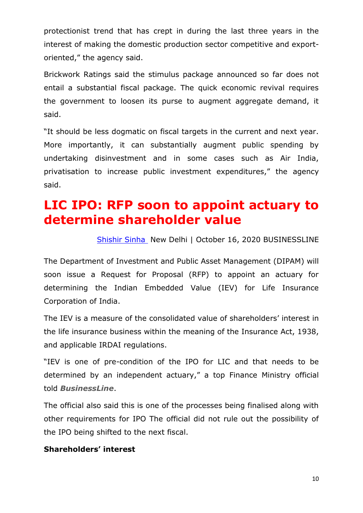protectionist trend that has crept in during the last three years in the interest of making the domestic production sector competitive and exportoriented," the agency said.

Brickwork Ratings said the stimulus package announced so far does not entail a substantial fiscal package. The quick economic revival requires the government to loosen its purse to augment aggregate demand, it said.

"It should be less dogmatic on fiscal targets in the current and next year. More importantly, it can substantially augment public spending by undertaking disinvestment and in some cases such as Air India, privatisation to increase public investment expenditures," the agency said.

# **LIC IPO: RFP soon to appoint actuary to determine shareholder value**

[Shishir Sinha](https://www.thehindubusinessline.com/profile/author/Shishir-Sinha-19600/) New Delhi | October 16, 2020 BUSINESSLINE

The Department of Investment and Public Asset Management (DIPAM) will soon issue a Request for Proposal (RFP) to appoint an actuary for determining the Indian Embedded Value (IEV) for Life Insurance Corporation of India.

The IEV is a measure of the consolidated value of shareholders' interest in the life insurance business within the meaning of the Insurance Act, 1938, and applicable IRDAI regulations.

"IEV is one of pre-condition of the IPO for LIC and that needs to be determined by an independent actuary," a top Finance Ministry official told *BusinessLine*.

The official also said this is one of the processes being finalised along with other requirements for IPO The official did not rule out the possibility of the IPO being shifted to the next fiscal.

#### **Shareholders' interest**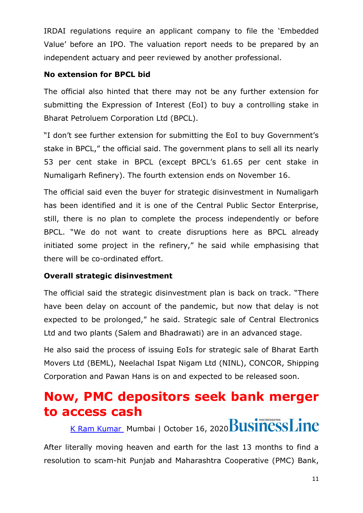IRDAI regulations require an applicant company to file the "Embedded Value" before an IPO. The valuation report needs to be prepared by an independent actuary and peer reviewed by another professional.

#### **No extension for BPCL bid**

The official also hinted that there may not be any further extension for submitting the Expression of Interest (EoI) to buy a controlling stake in Bharat Petroluem Corporation Ltd (BPCL).

"I don"t see further extension for submitting the EoI to buy Government"s stake in BPCL," the official said. The government plans to sell all its nearly 53 per cent stake in BPCL (except BPCL"s 61.65 per cent stake in Numaligarh Refinery). The fourth extension ends on November 16.

The official said even the buyer for strategic disinvestment in Numaligarh has been identified and it is one of the Central Public Sector Enterprise, still, there is no plan to complete the process independently or before BPCL. "We do not want to create disruptions here as BPCL already initiated some project in the refinery," he said while emphasising that there will be co-ordinated effort.

#### **Overall strategic disinvestment**

The official said the strategic disinvestment plan is back on track. "There have been delay on account of the pandemic, but now that delay is not expected to be prolonged," he said. Strategic sale of Central Electronics Ltd and two plants (Salem and Bhadrawati) are in an advanced stage.

He also said the process of issuing EoIs for strategic sale of Bharat Earth Movers Ltd (BEML), Neelachal Ispat Nigam Ltd (NINL), CONCOR, Shipping Corporation and Pawan Hans is on and expected to be released soon.

# **Now, PMC depositors seek bank merger to access cash**

[K Ram Kumar](https://www.thehindubusinessline.com/profile/author/K-Ram-Kumar-16680/) Mumbai | October 16, 2020 Business Line

After literally moving heaven and earth for the last 13 months to find a resolution to scam-hit Punjab and Maharashtra Cooperative (PMC) Bank,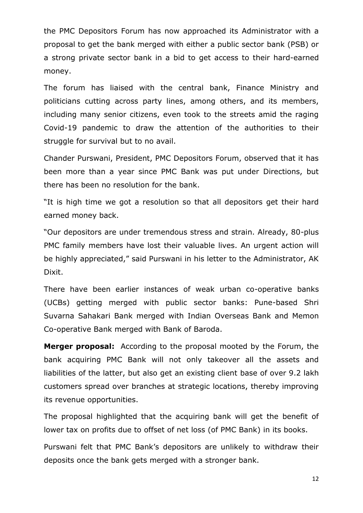the PMC Depositors Forum has now approached its Administrator with a proposal to get the bank merged with either a public sector bank (PSB) or a strong private sector bank in a bid to get access to their hard-earned money.

The forum has liaised with the central bank, Finance Ministry and politicians cutting across party lines, among others, and its members, including many senior citizens, even took to the streets amid the raging Covid-19 pandemic to draw the attention of the authorities to their struggle for survival but to no avail.

Chander Purswani, President, PMC Depositors Forum, observed that it has been more than a year since PMC Bank was put under Directions, but there has been no resolution for the bank.

"It is high time we got a resolution so that all depositors get their hard earned money back.

"Our depositors are under tremendous stress and strain. Already, 80-plus PMC family members have lost their valuable lives. An urgent action will be highly appreciated," said Purswani in his letter to the Administrator, AK Dixit.

There have been earlier instances of weak urban co-operative banks (UCBs) getting merged with public sector banks: Pune-based Shri Suvarna Sahakari Bank merged with Indian Overseas Bank and Memon Co-operative Bank merged with Bank of Baroda.

**Merger proposal:** According to the proposal mooted by the Forum, the bank acquiring PMC Bank will not only takeover all the assets and liabilities of the latter, but also get an existing client base of over 9.2 lakh customers spread over branches at strategic locations, thereby improving its revenue opportunities.

The proposal highlighted that the acquiring bank will get the benefit of lower tax on profits due to offset of net loss (of PMC Bank) in its books.

Purswani felt that PMC Bank"s depositors are unlikely to withdraw their deposits once the bank gets merged with a stronger bank.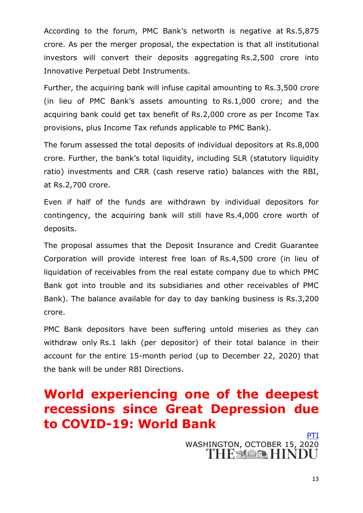According to the forum, PMC Bank"s networth is negative at Rs.5,875 crore. As per the merger proposal, the expectation is that all institutional investors will convert their deposits aggregating Rs.2,500 crore into Innovative Perpetual Debt Instruments.

Further, the acquiring bank will infuse capital amounting to Rs.3,500 crore (in lieu of PMC Bank"s assets amounting to Rs.1,000 crore; and the acquiring bank could get tax benefit of Rs.2,000 crore as per Income Tax provisions, plus Income Tax refunds applicable to PMC Bank).

The forum assessed the total deposits of individual depositors at Rs.8,000 crore. Further, the bank"s total liquidity, including SLR (statutory liquidity ratio) investments and CRR (cash reserve ratio) balances with the RBI, at Rs.2,700 crore.

Even if half of the funds are withdrawn by individual depositors for contingency, the acquiring bank will still have Rs.4,000 crore worth of deposits.

The proposal assumes that the Deposit Insurance and Credit Guarantee Corporation will provide interest free loan of Rs.4,500 crore (in lieu of liquidation of receivables from the real estate company due to which PMC Bank got into trouble and its subsidiaries and other receivables of PMC Bank). The balance available for day to day banking business is Rs.3,200 crore.

PMC Bank depositors have been suffering untold miseries as they can withdraw only Rs.1 lakh (per depositor) of their total balance in their account for the entire 15-month period (up to December 22, 2020) that the bank will be under RBI Directions.

# **World experiencing one of the deepest recessions since Great Depression due to COVID-19: World Bank**

[PTI](https://www.thehindu.com/business/Economy/world-experiencing-one-of-the-deepest-recessions-since-great-depression-due-to-covid-19-world-bank/article32859438.ece) WASHINGTON, OCTOBER 15, 2020<br>THE MOON HINDU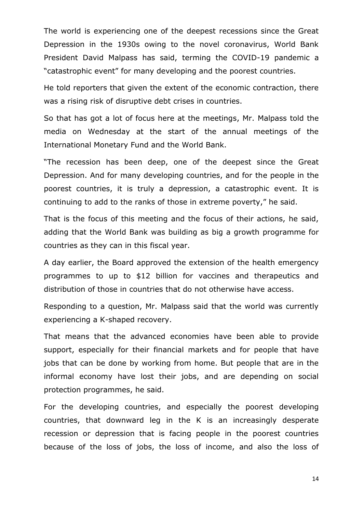The world is experiencing one of the deepest recessions since the Great Depression in the 1930s owing to the novel coronavirus, World Bank President David Malpass has said, terming the COVID-19 pandemic a "catastrophic event" for many developing and the poorest countries.

He told reporters that given the extent of the economic contraction, there was a rising risk of disruptive debt crises in countries.

So that has got a lot of focus here at the meetings, Mr. Malpass told the media on Wednesday at the start of the annual meetings of the International Monetary Fund and the World Bank.

"The recession has been deep, one of the deepest since the Great Depression. And for many developing countries, and for the people in the poorest countries, it is truly a depression, a catastrophic event. It is continuing to add to the ranks of those in extreme poverty," he said.

That is the focus of this meeting and the focus of their actions, he said, adding that the World Bank was building as big a growth programme for countries as they can in this fiscal year.

A day earlier, the Board approved the extension of the health emergency programmes to up to \$12 billion for vaccines and therapeutics and distribution of those in countries that do not otherwise have access.

Responding to a question, Mr. Malpass said that the world was currently experiencing a K-shaped recovery.

That means that the advanced economies have been able to provide support, especially for their financial markets and for people that have jobs that can be done by working from home. But people that are in the informal economy have lost their jobs, and are depending on social protection programmes, he said.

For the developing countries, and especially the poorest developing countries, that downward leg in the K is an increasingly desperate recession or depression that is facing people in the poorest countries because of the loss of jobs, the loss of income, and also the loss of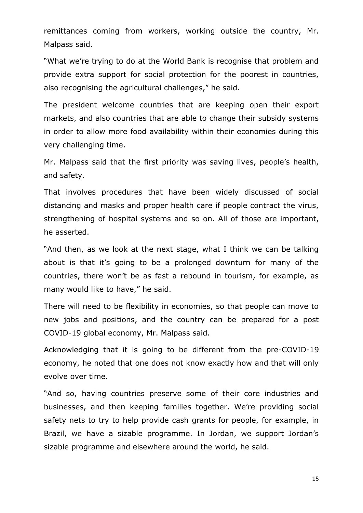remittances coming from workers, working outside the country, Mr. Malpass said.

"What we"re trying to do at the World Bank is recognise that problem and provide extra support for social protection for the poorest in countries, also recognising the agricultural challenges," he said.

The president welcome countries that are keeping open their export markets, and also countries that are able to change their subsidy systems in order to allow more food availability within their economies during this very challenging time.

Mr. Malpass said that the first priority was saving lives, people's health, and safety.

That involves procedures that have been widely discussed of social distancing and masks and proper health care if people contract the virus, strengthening of hospital systems and so on. All of those are important, he asserted.

"And then, as we look at the next stage, what I think we can be talking about is that it's going to be a prolonged downturn for many of the countries, there won't be as fast a rebound in tourism, for example, as many would like to have," he said.

There will need to be flexibility in economies, so that people can move to new jobs and positions, and the country can be prepared for a post COVID-19 global economy, Mr. Malpass said.

Acknowledging that it is going to be different from the pre-COVID-19 economy, he noted that one does not know exactly how and that will only evolve over time.

"And so, having countries preserve some of their core industries and businesses, and then keeping families together. We"re providing social safety nets to try to help provide cash grants for people, for example, in Brazil, we have a sizable programme. In Jordan, we support Jordan's sizable programme and elsewhere around the world, he said.